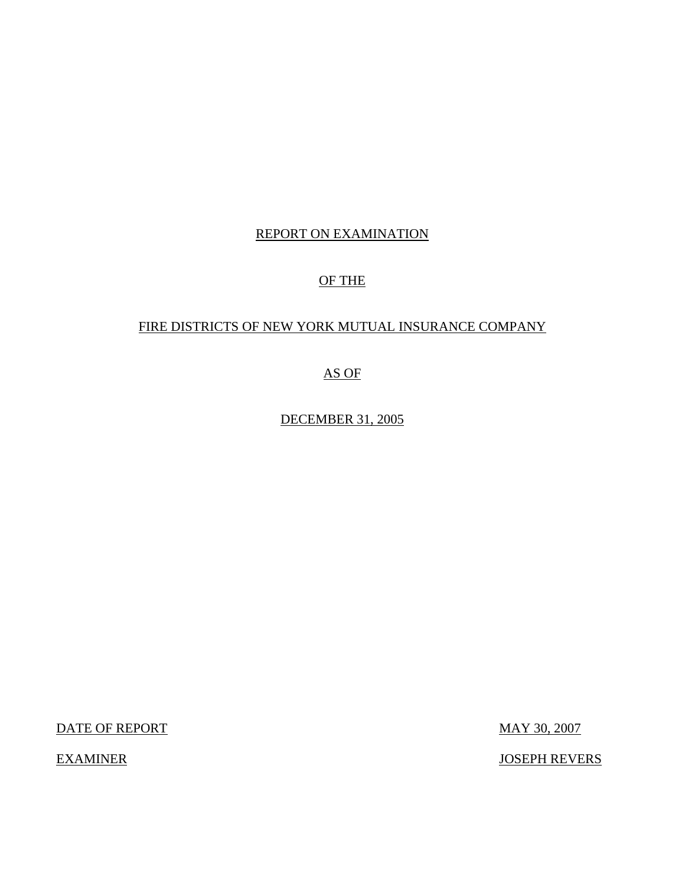## REPORT ON EXAMINATION

## OF THE

## FIRE DISTRICTS OF NEW YORK MUTUAL INSURANCE COMPANY

AS OF

DECEMBER 31, 2005

DATE OF REPORT MAY 30, 2007

EXAMINER JOSEPH REVERS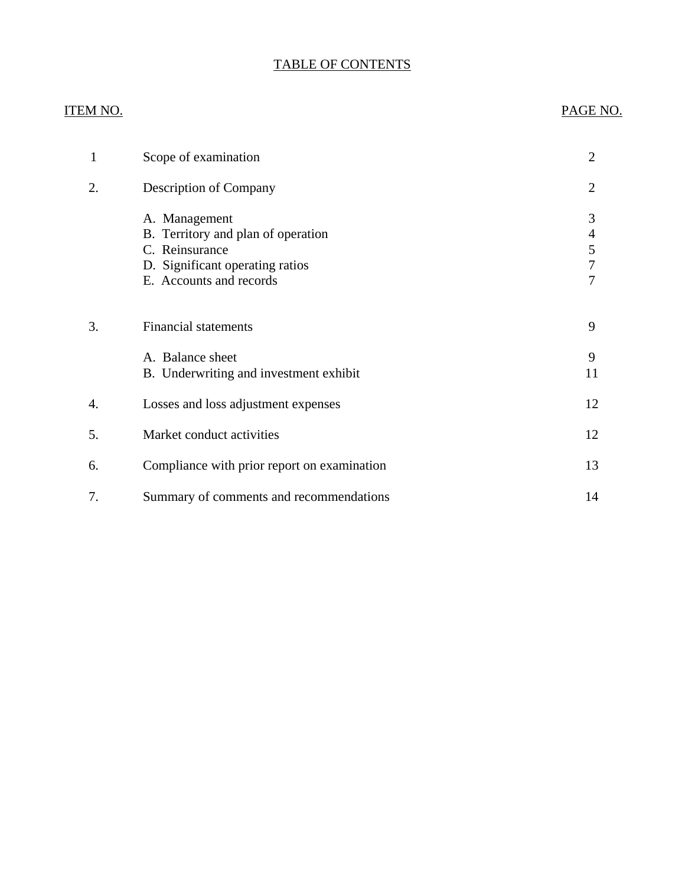# TABLE OF CONTENTS

## **ITEM NO.**

## PAGE NO.

| 1  | Scope of examination                                                                                                                | $\overline{2}$        |
|----|-------------------------------------------------------------------------------------------------------------------------------------|-----------------------|
| 2. | <b>Description of Company</b>                                                                                                       | 2                     |
|    | A. Management<br>B. Territory and plan of operation<br>C. Reinsurance<br>D. Significant operating ratios<br>E. Accounts and records | 3<br>4<br>5<br>7<br>7 |
| 3. | <b>Financial statements</b>                                                                                                         | 9                     |
|    | A. Balance sheet<br>B. Underwriting and investment exhibit                                                                          | 9<br>11               |
| 4. | Losses and loss adjustment expenses                                                                                                 | 12                    |
| 5. | Market conduct activities                                                                                                           | 12                    |
| 6. | Compliance with prior report on examination                                                                                         | 13                    |
| 7. | Summary of comments and recommendations                                                                                             | 14                    |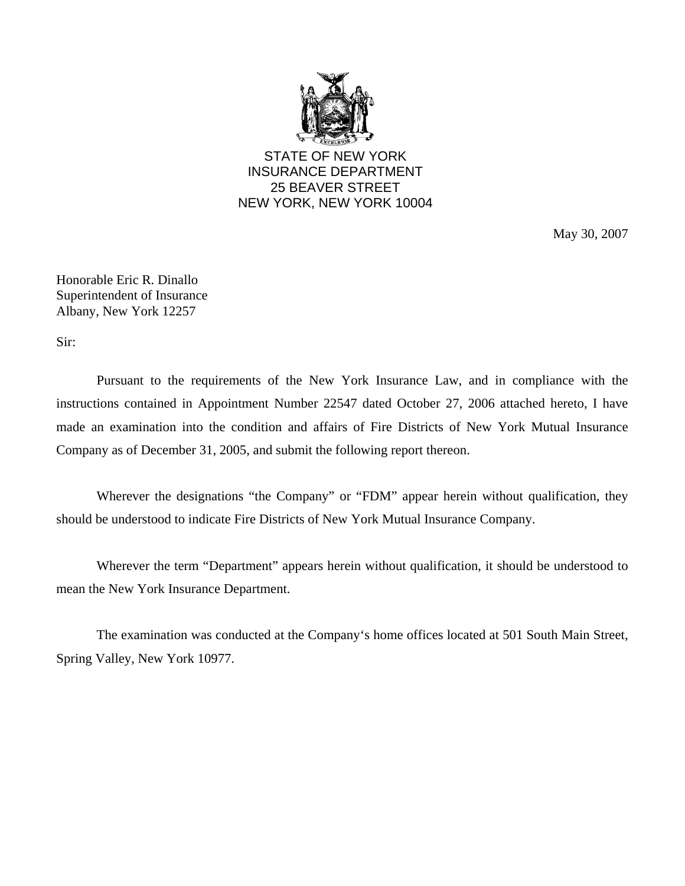

STATE OF NEW YORK INSURANCE DEPARTMENT 25 BEAVER STREET NEW YORK, NEW YORK 10004

May 30, 2007

Honorable Eric R. Dinallo Superintendent of Insurance Albany, New York 12257

Sir:

Pursuant to the requirements of the New York Insurance Law, and in compliance with the instructions contained in Appointment Number 22547 dated October 27, 2006 attached hereto, I have made an examination into the condition and affairs of Fire Districts of New York Mutual Insurance Company as of December 31, 2005, and submit the following report thereon.

Wherever the designations "the Company" or "FDM" appear herein without qualification, they should be understood to indicate Fire Districts of New York Mutual Insurance Company.

Wherever the term "Department" appears herein without qualification, it should be understood to mean the New York Insurance Department.

The examination was conducted at the Company's home offices located at 501 South Main Street, Spring Valley, New York 10977.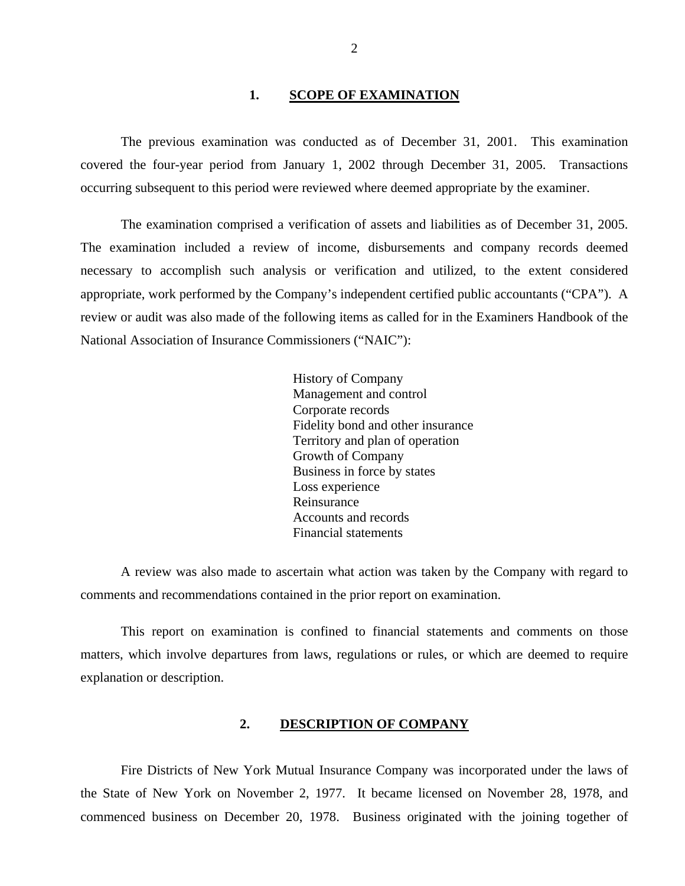### 1. **SCOPE OF EXAMINATION**

<span id="page-3-0"></span>The previous examination was conducted as of December 31, 2001. This examination covered the four-year period from January 1, 2002 through December 31, 2005. Transactions occurring subsequent to this period were reviewed where deemed appropriate by the examiner.

The examination comprised a verification of assets and liabilities as of December 31, 2005. The examination included a review of income, disbursements and company records deemed necessary to accomplish such analysis or verification and utilized, to the extent considered appropriate, work performed by the Company's independent certified public accountants ("CPA"). A review or audit was also made of the following items as called for in the Examiners Handbook of the National Association of Insurance Commissioners ("NAIC"):

> History of Company Management and control Corporate records Fidelity bond and other insurance Territory and plan of operation Growth of Company Business in force by states Loss experience Reinsurance Accounts and records Financial statements

A review was also made to ascertain what action was taken by the Company with regard to comments and recommendations contained in the prior report on examination.

This report on examination is confined to financial statements and comments on those matters, which involve departures from laws, regulations or rules, or which are deemed to require explanation or description.

#### **2. DESCRIPTION OF COMPANY**

Fire Districts of New York Mutual Insurance Company was incorporated under the laws of the State of New York on November 2, 1977. It became licensed on November 28, 1978, and commenced business on December 20, 1978. Business originated with the joining together of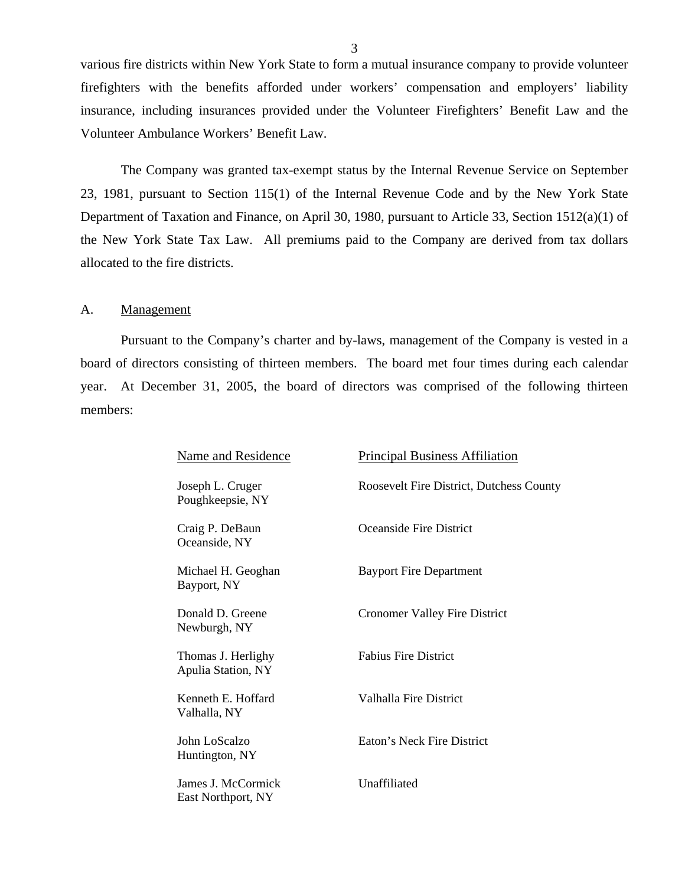<span id="page-4-0"></span>various fire districts within New York State to form a mutual insurance company to provide volunteer firefighters with the benefits afforded under workers' compensation and employers' liability insurance, including insurances provided under the Volunteer Firefighters' Benefit Law and the Volunteer Ambulance Workers' Benefit Law.

The Company was granted tax-exempt status by the Internal Revenue Service on September 23, 1981, pursuant to Section 115(1) of the Internal Revenue Code and by the New York State Department of Taxation and Finance, on April 30, 1980, pursuant to Article 33, Section 1512(a)(1) of the New York State Tax Law. All premiums paid to the Company are derived from tax dollars allocated to the fire districts.

#### A. Management

Pursuant to the Company's charter and by-laws, management of the Company is vested in a board of directors consisting of thirteen members. The board met four times during each calendar year. At December 31, 2005, the board of directors was comprised of the following thirteen members:

| Name and Residence                              | <b>Principal Business Affiliation</b>    |
|-------------------------------------------------|------------------------------------------|
| Joseph L. Cruger<br>Poughkeepsie, NY            | Roosevelt Fire District, Dutchess County |
| Craig P. DeBaun<br>Oceanside, NY                | Oceanside Fire District                  |
| Michael H. Geoghan<br>Bayport, NY               | <b>Bayport Fire Department</b>           |
| Donald D. Greene<br>Newburgh, NY                | <b>Cronomer Valley Fire District</b>     |
| Thomas J. Herlighy<br><b>Apulia Station, NY</b> | <b>Fabius Fire District</b>              |
| Kenneth E. Hoffard<br>Valhalla, NY              | Valhalla Fire District                   |
| John LoScalzo<br>Huntington, NY                 | Eaton's Neck Fire District               |
| James J. McCormick<br>East Northport, NY        | Unaffiliated                             |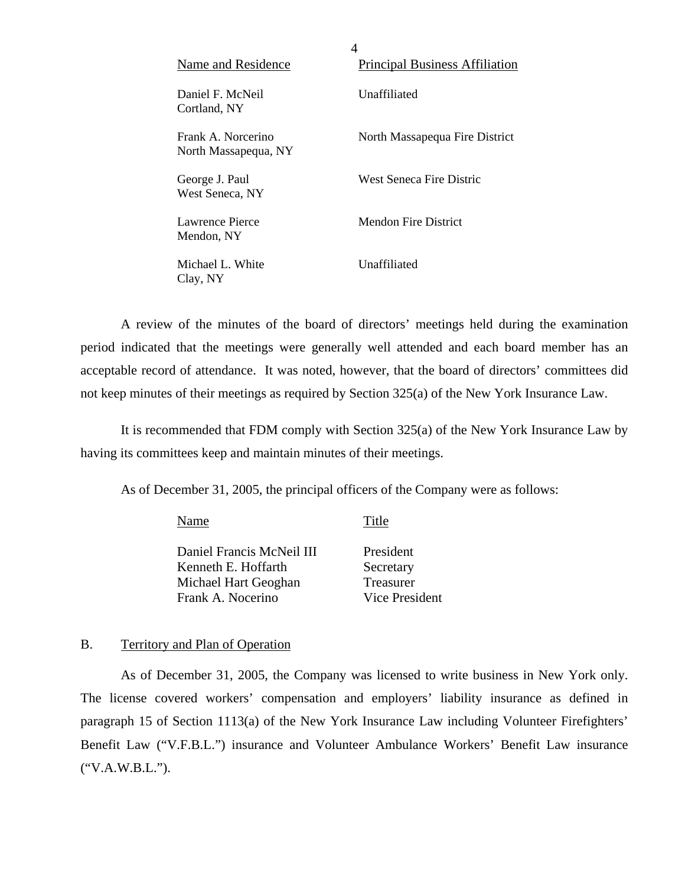| Name and Residence                         | <b>Principal Business Affiliation</b> |
|--------------------------------------------|---------------------------------------|
| Daniel F. McNeil<br>Cortland, NY           | Unaffiliated                          |
| Frank A. Norcerino<br>North Massapequa, NY | North Massapequa Fire District        |
| George J. Paul<br>West Seneca, NY          | West Seneca Fire Distric              |
| Lawrence Pierce<br>Mendon, NY              | Mendon Fire District                  |
| Michael L. White<br>Clay, NY               | Unaffiliated                          |

4

A review of the minutes of the board of directors' meetings held during the examination period indicated that the meetings were generally well attended and each board member has an acceptable record of attendance. It was noted, however, that the board of directors' committees did not keep minutes of their meetings as required by Section 325(a) of the New York Insurance Law.

It is recommended that FDM comply with Section 325(a) of the New York Insurance Law by having its committees keep and maintain minutes of their meetings.

As of December 31, 2005, the principal officers of the Company were as follows:

| Name                      | Title                 |
|---------------------------|-----------------------|
| Daniel Francis McNeil III | President             |
| Kenneth E. Hoffarth       | Secretary             |
| Michael Hart Geoghan      | Treasurer             |
| Frank A. Nocerino         | <b>Vice President</b> |

### B. Territory and Plan of Operation

As of December 31, 2005, the Company was licensed to write business in New York only. The license covered workers' compensation and employers' liability insurance as defined in paragraph 15 of Section 1113(a) of the New York Insurance Law including Volunteer Firefighters' Benefit Law ("V.F.B.L.") insurance and Volunteer Ambulance Workers' Benefit Law insurance ("V.A.W.B.L.").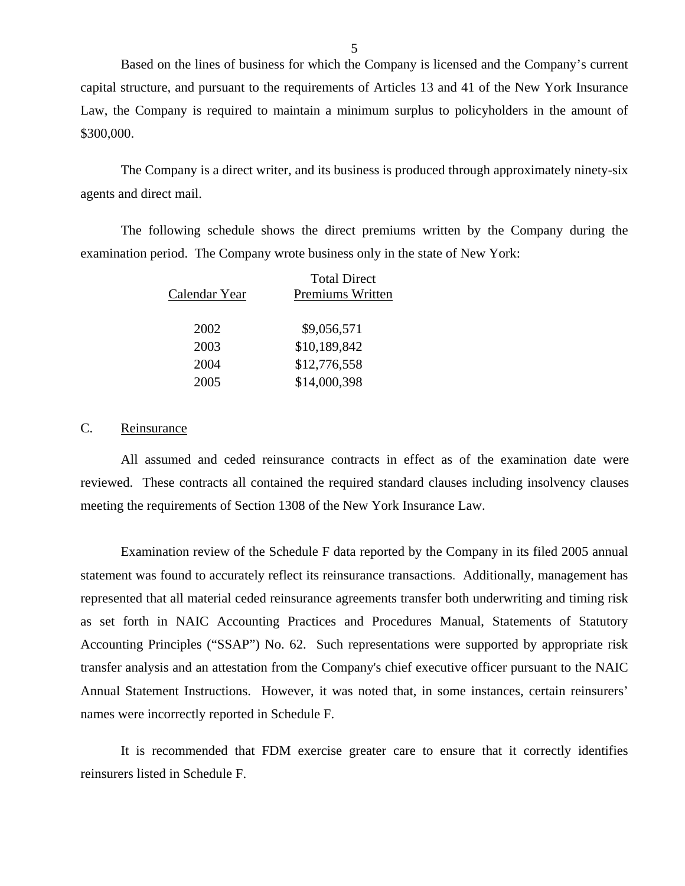Based on the lines of business for which the Company is licensed and the Company's current capital structure, and pursuant to the requirements of Articles 13 and 41 of the New York Insurance Law, the Company is required to maintain a minimum surplus to policyholders in the amount of \$300,000.

The Company is a direct writer, and its business is produced through approximately ninety-six agents and direct mail.

The following schedule shows the direct premiums written by the Company during the examination period. The Company wrote business only in the state of New York:

|               | <b>Total Direct</b> |
|---------------|---------------------|
| Calendar Year | Premiums Written    |
| 2002          | \$9,056,571         |
| 2003          | \$10,189,842        |
| 2004          | \$12,776,558        |
| 2005          | \$14,000,398        |

### C. Reinsurance

All assumed and ceded reinsurance contracts in effect as of the examination date were reviewed. These contracts all contained the required standard clauses including insolvency clauses meeting the requirements of Section 1308 of the New York Insurance Law.

Examination review of the Schedule F data reported by the Company in its filed 2005 annual statement was found to accurately reflect its reinsurance transactions. Additionally, management has represented that all material ceded reinsurance agreements transfer both underwriting and timing risk as set forth in NAIC Accounting Practices and Procedures Manual, Statements of Statutory Accounting Principles ("SSAP") No. 62. Such representations were supported by appropriate risk transfer analysis and an attestation from the Company's chief executive officer pursuant to the NAIC Annual Statement Instructions. However, it was noted that, in some instances, certain reinsurers' names were incorrectly reported in Schedule F.

It is recommended that FDM exercise greater care to ensure that it correctly identifies reinsurers listed in Schedule F.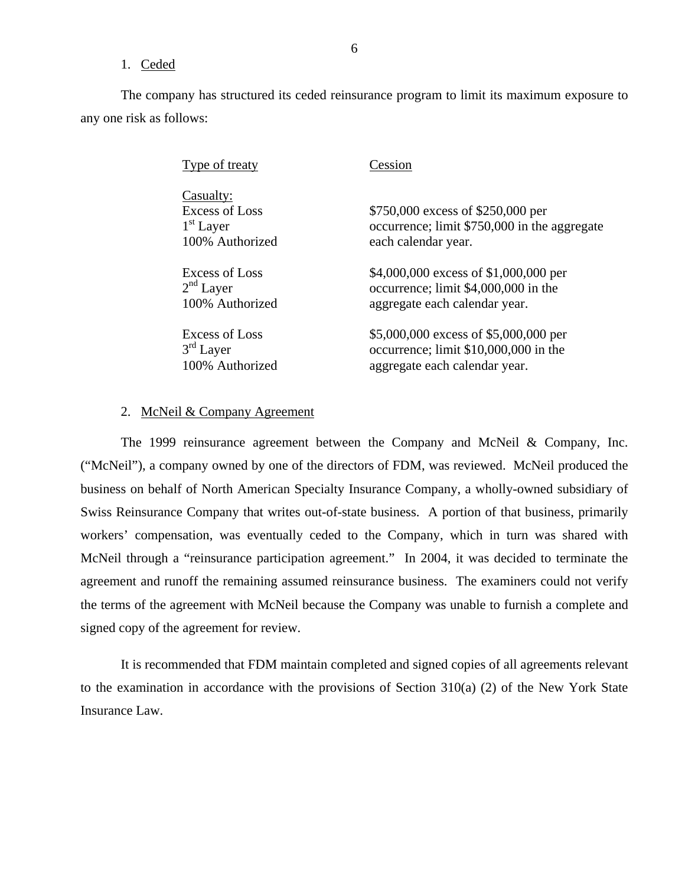### 1. Ceded

The company has structured its ceded reinsurance program to limit its maximum exposure to any one risk as follows:

| Type of treaty                                                       | Cession                                                                                                  |
|----------------------------------------------------------------------|----------------------------------------------------------------------------------------------------------|
| Casualty:<br><b>Excess of Loss</b><br>$1st$ Layer<br>100% Authorized | \$750,000 excess of \$250,000 per<br>occurrence; limit \$750,000 in the aggregate<br>each calendar year. |
| Excess of Loss                                                       | \$4,000,000 excess of \$1,000,000 per                                                                    |
| 2 <sup>nd</sup> Layer                                                | occurrence; limit \$4,000,000 in the                                                                     |
| 100% Authorized                                                      | aggregate each calendar year.                                                                            |
| Excess of Loss                                                       | \$5,000,000 excess of \$5,000,000 per                                                                    |
| $3rd$ Layer                                                          | occurrence; limit \$10,000,000 in the                                                                    |
| 100% Authorized                                                      | aggregate each calendar year.                                                                            |

### 2. McNeil & Company Agreement

The 1999 reinsurance agreement between the Company and McNeil & Company, Inc. ("McNeil"), a company owned by one of the directors of FDM, was reviewed. McNeil produced the business on behalf of North American Specialty Insurance Company, a wholly-owned subsidiary of Swiss Reinsurance Company that writes out-of-state business. A portion of that business, primarily workers' compensation, was eventually ceded to the Company, which in turn was shared with McNeil through a "reinsurance participation agreement." In 2004, it was decided to terminate the agreement and runoff the remaining assumed reinsurance business. The examiners could not verify the terms of the agreement with McNeil because the Company was unable to furnish a complete and signed copy of the agreement for review.

It is recommended that FDM maintain completed and signed copies of all agreements relevant to the examination in accordance with the provisions of Section 310(a) (2) of the New York State Insurance Law.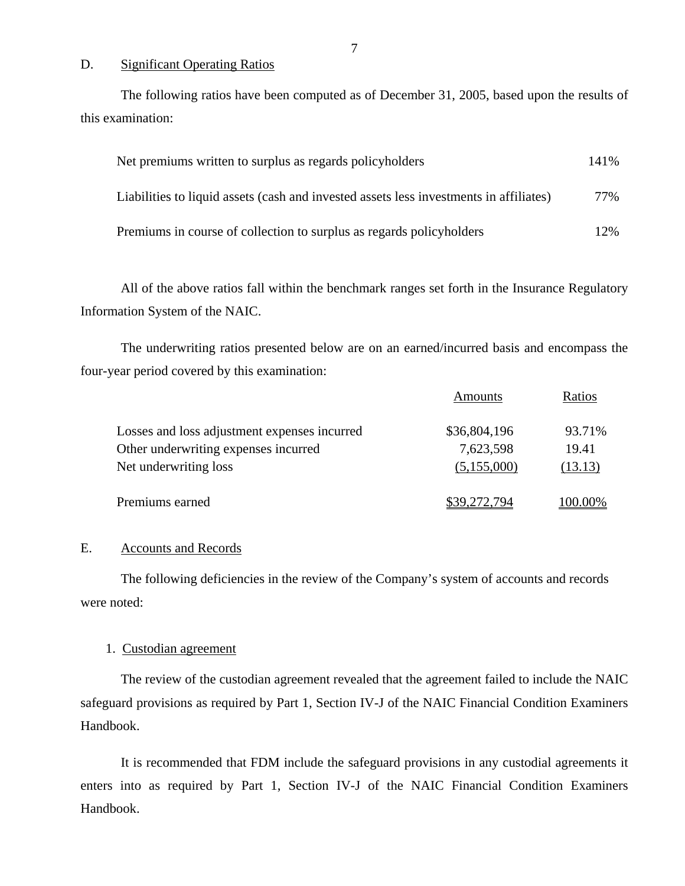### D. Significant Operating Ratios

The following ratios have been computed as of December 31, 2005, based upon the results of this examination:

| Net premiums written to surplus as regards policyholders                               | 141% |
|----------------------------------------------------------------------------------------|------|
| Liabilities to liquid assets (cash and invested assets less investments in affiliates) | 77%  |
| Premiums in course of collection to surplus as regards policyholders                   | 12%  |

All of the above ratios fall within the benchmark ranges set forth in the Insurance Regulatory Information System of the NAIC.

The underwriting ratios presented below are on an earned/incurred basis and encompass the four-year period covered by this examination:

|                                              | Amounts      | Ratios  |
|----------------------------------------------|--------------|---------|
| Losses and loss adjustment expenses incurred | \$36,804,196 | 93.71%  |
| Other underwriting expenses incurred         | 7,623,598    | 19.41   |
| Net underwriting loss                        | (5,155,000)  | (13.13) |
| Premiums earned                              | \$39,272,794 | 100.00% |

### E. Accounts and Records

The following deficiencies in the review of the Company's system of accounts and records were noted:

### 1. Custodian agreement

The review of the custodian agreement revealed that the agreement failed to include the NAIC safeguard provisions as required by Part 1, Section IV-J of the NAIC Financial Condition Examiners Handbook.

It is recommended that FDM include the safeguard provisions in any custodial agreements it enters into as required by Part 1, Section IV-J of the NAIC Financial Condition Examiners Handbook.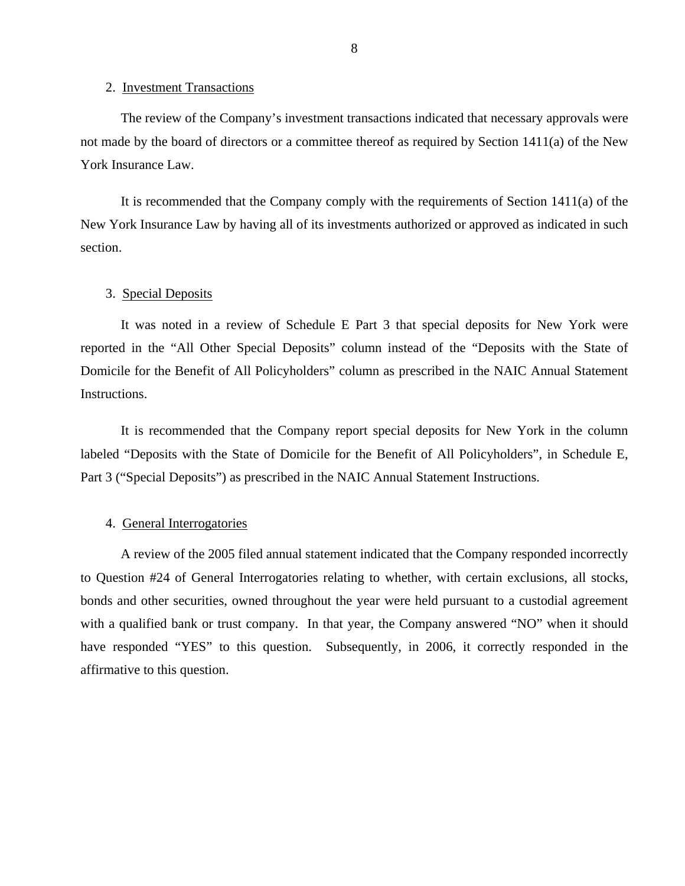#### 2. Investment Transactions

The review of the Company's investment transactions indicated that necessary approvals were not made by the board of directors or a committee thereof as required by Section 1411(a) of the New York Insurance Law.

It is recommended that the Company comply with the requirements of Section 1411(a) of the New York Insurance Law by having all of its investments authorized or approved as indicated in such section.

### 3. Special Deposits

It was noted in a review of Schedule E Part 3 that special deposits for New York were reported in the "All Other Special Deposits" column instead of the "Deposits with the State of Domicile for the Benefit of All Policyholders" column as prescribed in the NAIC Annual Statement Instructions.

It is recommended that the Company report special deposits for New York in the column labeled "Deposits with the State of Domicile for the Benefit of All Policyholders", in Schedule E, Part 3 ("Special Deposits") as prescribed in the NAIC Annual Statement Instructions.

### 4. General Interrogatories

A review of the 2005 filed annual statement indicated that the Company responded incorrectly to Question #24 of General Interrogatories relating to whether, with certain exclusions, all stocks, bonds and other securities, owned throughout the year were held pursuant to a custodial agreement with a qualified bank or trust company. In that year, the Company answered "NO" when it should have responded "YES" to this question. Subsequently, in 2006, it correctly responded in the affirmative to this question.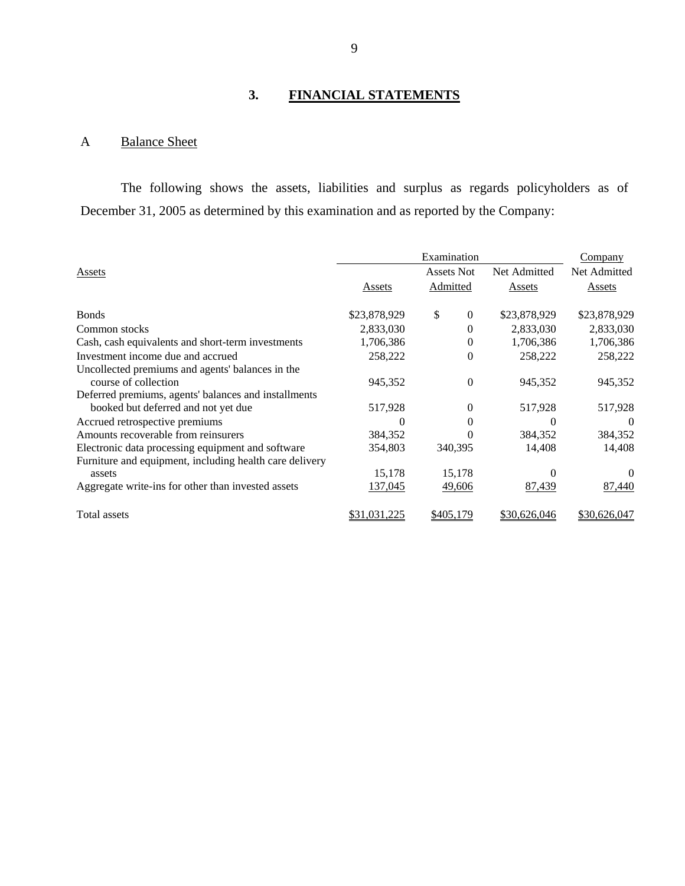# **3. FINANCIAL STATEMENTS**

## A Balance Sheet

The following shows the assets, liabilities and surplus as regards policyholders as of December 31, 2005 as determined by this examination and as reported by the Company:

|                                                         |              | Examination        |              | Company      |
|---------------------------------------------------------|--------------|--------------------|--------------|--------------|
| Assets                                                  |              | Assets Not         | Net Admitted | Net Admitted |
|                                                         | Assets       | Admitted           | Assets       | Assets       |
| <b>Bonds</b>                                            | \$23,878,929 | \$<br>$\mathbf{0}$ | \$23,878,929 | \$23,878,929 |
| Common stocks                                           | 2,833,030    | 0                  | 2,833,030    | 2,833,030    |
| Cash, cash equivalents and short-term investments       | 1,706,386    | 0                  | 1,706,386    | 1,706,386    |
| Investment income due and accrued                       | 258,222      | $\Omega$           | 258,222      | 258,222      |
| Uncollected premiums and agents' balances in the        |              |                    |              |              |
| course of collection                                    | 945,352      | $\Omega$           | 945,352      | 945,352      |
| Deferred premiums, agents' balances and installments    |              |                    |              |              |
| booked but deferred and not yet due                     | 517,928      | $\Omega$           | 517,928      | 517,928      |
| Accrued retrospective premiums                          | 0            | 0                  | 0            | $\Omega$     |
| Amounts recoverable from reinsurers                     | 384,352      | $\theta$           | 384,352      | 384,352      |
| Electronic data processing equipment and software       | 354,803      | 340,395            | 14,408       | 14,408       |
| Furniture and equipment, including health care delivery |              |                    |              |              |
| assets                                                  | 15,178       | 15,178             |              |              |
| Aggregate write-ins for other than invested assets      | 137,045      | 49,606             | 87,439       | 87,440       |
| Total assets                                            | \$31,031,225 | \$405,179          | \$30,626,046 | \$30,626,047 |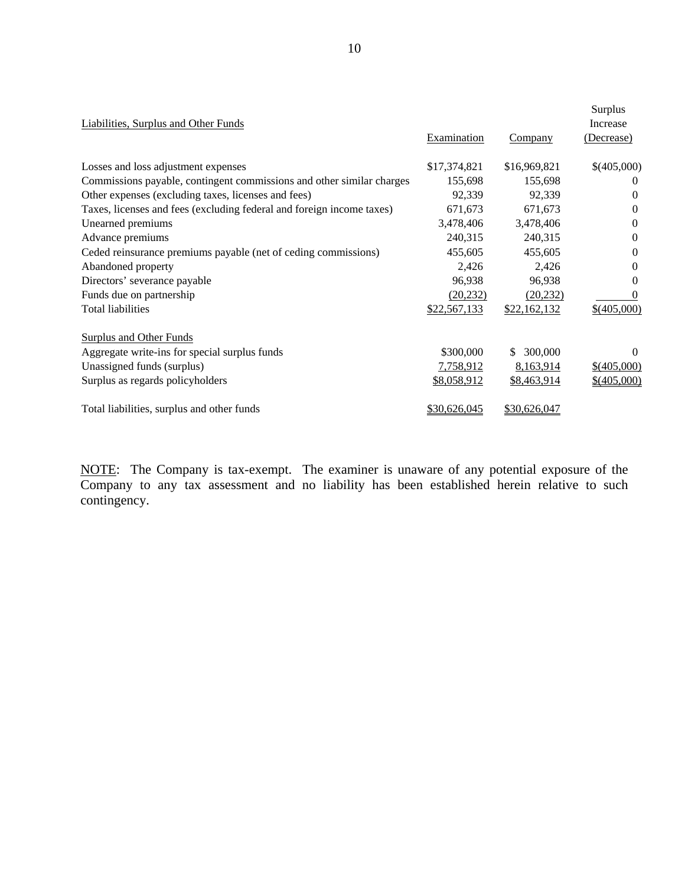| <b>Liabilities, Surplus and Other Funds</b>                           | <b>Examination</b> | Company        | Surplus<br>Increase<br>(Decrease) |
|-----------------------------------------------------------------------|--------------------|----------------|-----------------------------------|
| Losses and loss adjustment expenses                                   | \$17,374,821       | \$16,969,821   | \$(405,000)                       |
| Commissions payable, contingent commissions and other similar charges | 155,698            | 155,698        | $\theta$                          |
| Other expenses (excluding taxes, licenses and fees)                   | 92,339             | 92,339         | $\Omega$                          |
| Taxes, licenses and fees (excluding federal and foreign income taxes) | 671,673            | 671,673        | $\Omega$                          |
| Unearned premiums                                                     | 3,478,406          | 3,478,406      | $\Omega$                          |
| Advance premiums                                                      | 240,315            | 240,315        | $\Omega$                          |
| Ceded reinsurance premiums payable (net of ceding commissions)        | 455,605            | 455,605        | $\Omega$                          |
| Abandoned property                                                    | 2,426              | 2,426          | $\Omega$                          |
| Directors' severance payable                                          | 96,938             | 96,938         | $\Omega$                          |
| Funds due on partnership                                              | (20, 232)          | (20, 232)      | $\theta$                          |
| Total liabilities                                                     | \$22,567,133       | \$22,162,132   | $$$ (405,000)                     |
| <b>Surplus and Other Funds</b>                                        |                    |                |                                   |
| Aggregate write-ins for special surplus funds                         | \$300,000          | 300,000<br>\$. | $\Omega$                          |
| Unassigned funds (surplus)                                            | 7,758,912          | 8,163,914      | \$(405,000)                       |
| Surplus as regards policyholders                                      | <u>\$8,058,912</u> | \$8,463,914    | $$$ (405,000)                     |
| Total liabilities, surplus and other funds                            | \$30,626,045       | \$30,626,047   |                                   |

NOTE: The Company is tax-exempt. The examiner is unaware of any potential exposure of the Company to any tax assessment and no liability has been established herein relative to such contingency.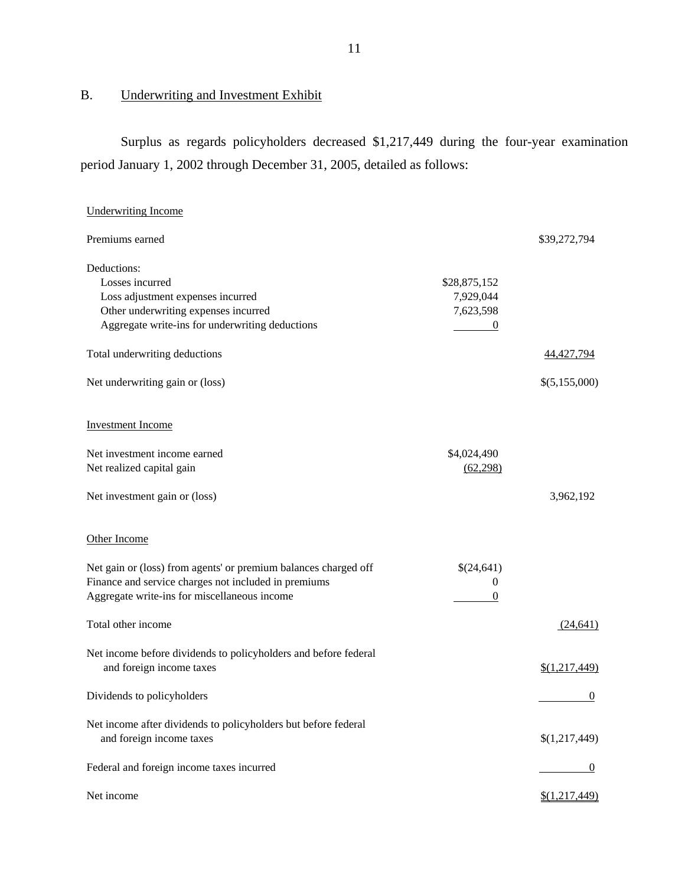# B. Underwriting and Investment Exhibit

Surplus as regards policyholders decreased \$1,217,449 during the four-year examination period January 1, 2002 through December 31, 2005, detailed as follows:

| <b>Underwriting Income</b>                                      |                  |               |
|-----------------------------------------------------------------|------------------|---------------|
| Premiums earned                                                 |                  | \$39,272,794  |
| Deductions:                                                     |                  |               |
| Losses incurred                                                 | \$28,875,152     |               |
| Loss adjustment expenses incurred                               | 7,929,044        |               |
| Other underwriting expenses incurred                            | 7,623,598        |               |
| Aggregate write-ins for underwriting deductions                 | $\boldsymbol{0}$ |               |
| Total underwriting deductions                                   |                  | 44,427,794    |
| Net underwriting gain or (loss)                                 |                  | \$(5,155,000) |
| <b>Investment Income</b>                                        |                  |               |
| Net investment income earned                                    | \$4,024,490      |               |
| Net realized capital gain                                       | (62, 298)        |               |
| Net investment gain or (loss)                                   |                  | 3,962,192     |
| Other Income                                                    |                  |               |
| Net gain or (loss) from agents' or premium balances charged off | \$(24,641)       |               |
| Finance and service charges not included in premiums            | $\mathbf{0}$     |               |
| Aggregate write-ins for miscellaneous income                    | 0                |               |
| Total other income                                              |                  | (24, 641)     |
| Net income before dividends to policyholders and before federal |                  |               |
| and foreign income taxes                                        |                  | \$(1,217,449) |
| Dividends to policyholders                                      |                  | $\mathbf{0}$  |
| Net income after dividends to policyholders but before federal  |                  |               |
| and foreign income taxes                                        |                  | \$(1,217,449) |
| Federal and foreign income taxes incurred                       |                  | $\theta$      |
| Net income                                                      |                  | \$(1,217,449) |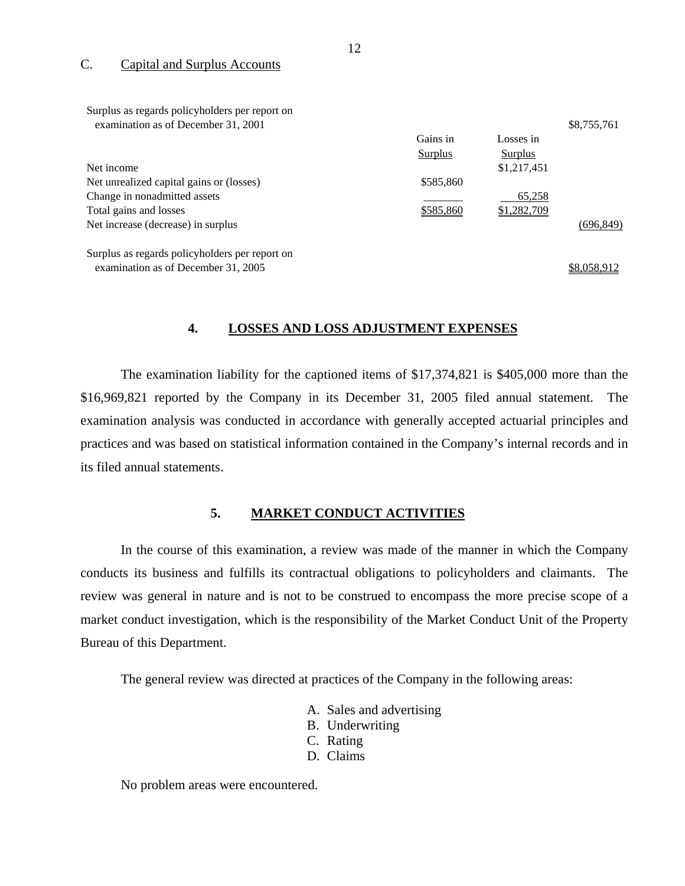### C. Capital and Surplus Accounts

| Surplus as regards policyholders per report on |                |             |             |
|------------------------------------------------|----------------|-------------|-------------|
| examination as of December 31, 2001            |                |             | \$8,755,761 |
|                                                | Gains in       | Losses in   |             |
|                                                | <b>Surplus</b> | Surplus     |             |
| Net income                                     |                | \$1,217,451 |             |
| Net unrealized capital gains or (losses)       | \$585,860      |             |             |
| Change in nonadmitted assets                   |                | 65,258      |             |
| Total gains and losses                         | \$585,860      | \$1,282,709 |             |
| Net increase (decrease) in surplus             |                |             | (696, 849)  |
| Surplus as regards policyholders per report on |                |             |             |
| examination as of December 31, 2005            |                |             | \$8,058,912 |

### **4. LOSSES AND LOSS ADJUSTMENT EXPENSES**

The examination liability for the captioned items of \$17,374,821 is \$405,000 more than the \$16,969,821 reported by the Company in its December 31, 2005 filed annual statement. The examination analysis was conducted in accordance with generally accepted actuarial principles and practices and was based on statistical information contained in the Company's internal records and in its filed annual statements.

### **5. MARKET CONDUCT ACTIVITIES**

In the course of this examination, a review was made of the manner in which the Company conducts its business and fulfills its contractual obligations to policyholders and claimants. The review was general in nature and is not to be construed to encompass the more precise scope of a market conduct investigation, which is the responsibility of the Market Conduct Unit of the Property Bureau of this Department.

The general review was directed at practices of the Company in the following areas:

- A. Sales and advertising
- B. Underwriting
- C. Rating
- D. Claims

No problem areas were encountered.

12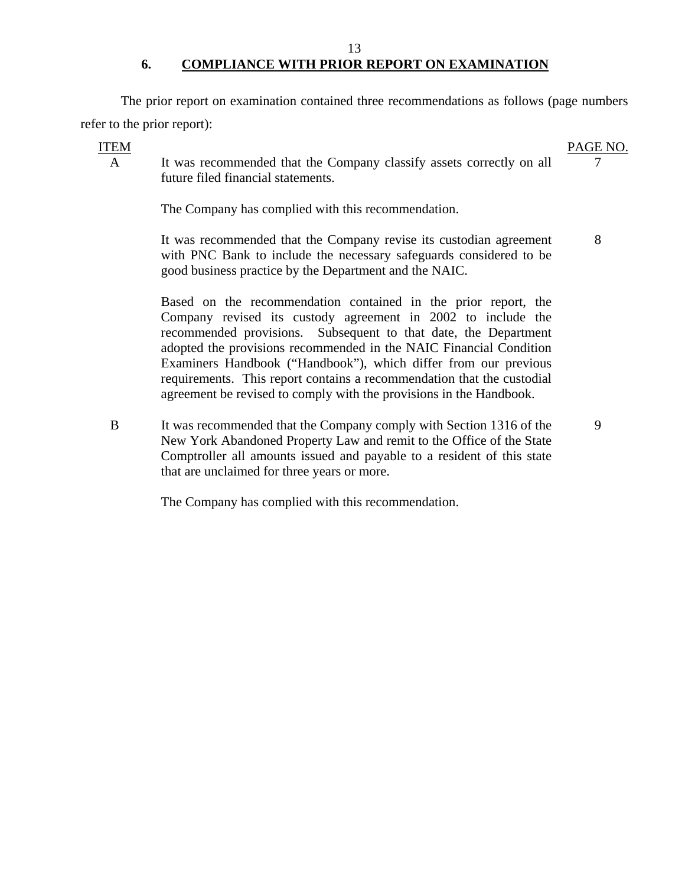## 13 **6. COMPLIANCE WITH PRIOR REPORT ON EXAMINATION**

The prior report on examination contained three recommendations as follows (page numbers refer to the prior report):

## **ITEM**

#### PAGE NO. 7

9

A It was recommended that the Company classify assets correctly on all future filed financial statements.

The Company has complied with this recommendation.

It was recommended that the Company revise its custodian agreement with PNC Bank to include the necessary safeguards considered to be good business practice by the Department and the NAIC. 8

Based on the recommendation contained in the prior report, the Company revised its custody agreement in 2002 to include the recommended provisions. Subsequent to that date, the Department adopted the provisions recommended in the NAIC Financial Condition Examiners Handbook ("Handbook"), which differ from our previous requirements. This report contains a recommendation that the custodial agreement be revised to comply with the provisions in the Handbook.

B It was recommended that the Company comply with Section 1316 of the New York Abandoned Property Law and remit to the Office of the State Comptroller all amounts issued and payable to a resident of this state that are unclaimed for three years or more.

The Company has complied with this recommendation.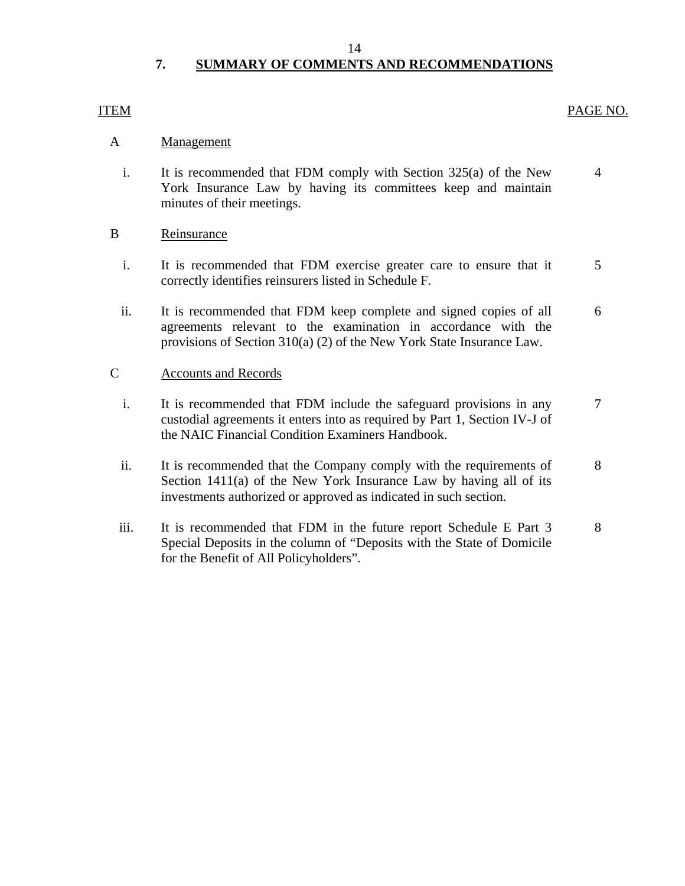#### 14

# **7. SUMMARY OF COMMENTS AND RECOMMENDATIONS**

## <span id="page-15-0"></span>**ITEM**

## PAGE NO.

## A **Management**

i. It is recommended that FDM comply with Section  $325(a)$  of the New 4 York Insurance Law by having its committees keep and maintain minutes of their meetings.

### B Reinsurance

- i. It is recommended that FDM exercise greater care to ensure that it 5 correctly identifies reinsurers listed in Schedule F.
- ii. It is recommended that FDM keep complete and signed copies of all 6 agreements relevant to the examination in accordance with the provisions of Section 310(a) (2) of the New York State Insurance Law.

## **Accounts and Records**

- C Accounts and Records<br>i. It is recommended that FDM include the safeguard provisions in any 7 custodial agreements it enters into as required by Part 1, Section IV-J of the NAIC Financial Condition Examiners Handbook.
	- ii. It is recommended that the Company comply with the requirements of 8 Section 1411(a) of the New York Insurance Law by having all of its investments authorized or approved as indicated in such section.
	- iii. It is recommended that FDM in the future report Schedule E Part 3 8 Special Deposits in the column of "Deposits with the State of Domicile for the Benefit of All Policyholders".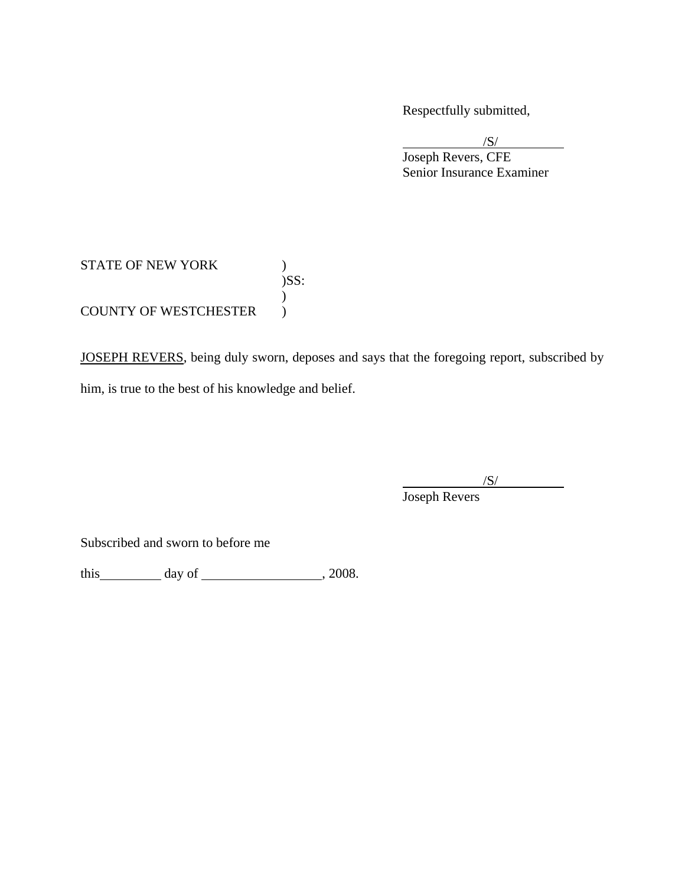Respectfully submitted,

 $/S/$  Joseph Revers, CFE Senior Insurance Examiner  $\sqrt{S}$ 

## STATE OF NEW YORK  $)$ )SS:  $\mathcal{L}$ COUNTY OF WESTCHESTER  $\qquad$  )

JOSEPH REVERS, being duly sworn, deposes and says that the foregoing report, subscribed by him, is true to the best of his knowledge and belief.

 $\overline{a}$  $\sqrt{S}$ / Joseph Revers

Subscribed and sworn to before me

this  $\qquad \qquad \text{day of} \qquad \qquad .2008.$